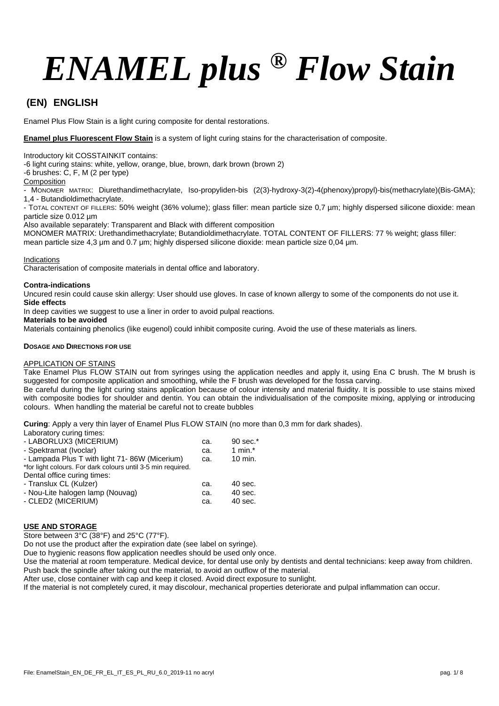# *ENAMEL plus ® Flow Stain*

## **(EN) ENGLISH**

Enamel Plus Flow Stain is a light curing composite for dental restorations.

**Enamel plus Fluorescent Flow Stain** is a system of light curing stains for the characterisation of composite.

Introductory kit COSSTAINKIT contains:

-6 light curing stains: white, yellow, orange, blue, brown, dark brown (brown 2)

-6 brushes: C, F, M (2 per type)

#### **Composition**

- MONOMER MATRIX: Diurethandimethacrylate, Iso-propyliden-bis (2(3)-hydroxy-3(2)-4(phenoxy)propyl)-bis(methacrylate)(Bis-GMA); 1,4 - Butandioldimethacrylate.

- TOTAL CONTENT OF FILLERS: 50% weight (36% volume); glass filler: mean particle size 0,7 µm; highly dispersed silicone dioxide: mean particle size 0.012 µm

Also available separately: Transparent and Black with different composition

MONOMER MATRIX: Urethandimethacrylate; Butandioldimethacrylate. TOTAL CONTENT OF FILLERS: 77 % weight; glass filler: mean particle size 4,3 μm and 0.7 μm; highly dispersed silicone dioxide: mean particle size 0,04 μm.

#### Indications

Characterisation of composite materials in dental office and laboratory.

#### **Contra-indications**

Uncured resin could cause skin allergy: User should use gloves. In case of known allergy to some of the components do not use it. **Side effects**

In deep cavities we suggest to use a liner in order to avoid pulpal reactions.

#### **Materials to be avoided**

Materials containing phenolics (like eugenol) could inhibit composite curing. Avoid the use of these materials as liners.

#### **DOSAGE AND DIRECTIONS FOR USE**

#### APPLICATION OF STAINS

Take Enamel Plus FLOW STAIN out from syringes using the application needles and apply it, using Ena C brush. The M brush is suggested for composite application and smoothing, while the F brush was developed for the fossa carving.

Be careful during the light curing stains application because of colour intensity and material fluidity. It is possible to use stains mixed with composite bodies for shoulder and dentin. You can obtain the individualisation of the composite mixing, applying or introducing colours. When handling the material be careful not to create bubbles

**Curing**: Apply a very thin layer of Enamel Plus FLOW STAIN (no more than 0,3 mm for dark shades).

Laboratory curing times:

| - LABORLUX3 (MICERIUM)                                       | ca. | 90 sec.*   |
|--------------------------------------------------------------|-----|------------|
| - Spektramat (Ivoclar)                                       | ca. | 1 min. $*$ |
| - Lampada Plus T with light 71-86W (Micerium)                | ca. | 10 min.    |
| *for light colours. For dark colours until 3-5 min required. |     |            |
| Dental office curing times:                                  |     |            |
| - Translux CL (Kulzer)                                       | ca. | 40 sec.    |
| - Nou-Lite halogen lamp (Nouvag)                             | ca. | 40 sec.    |
| - CLED2 (MICERIUM)                                           | ca. | 40 sec.    |

#### **USE AND STORAGE**

Store between 3°C (38°F) and 25°C (77°F).

Do not use the product after the expiration date (see label on syringe).

Due to hygienic reasons flow application needles should be used only once.

Use the material at room temperature. Medical device, for dental use only by dentists and dental technicians: keep away from children. Push back the spindle after taking out the material, to avoid an outflow of the material.

After use, close container with cap and keep it closed. Avoid direct exposure to sunlight.

If the material is not completely cured, it may discolour, mechanical properties deteriorate and pulpal inflammation can occur.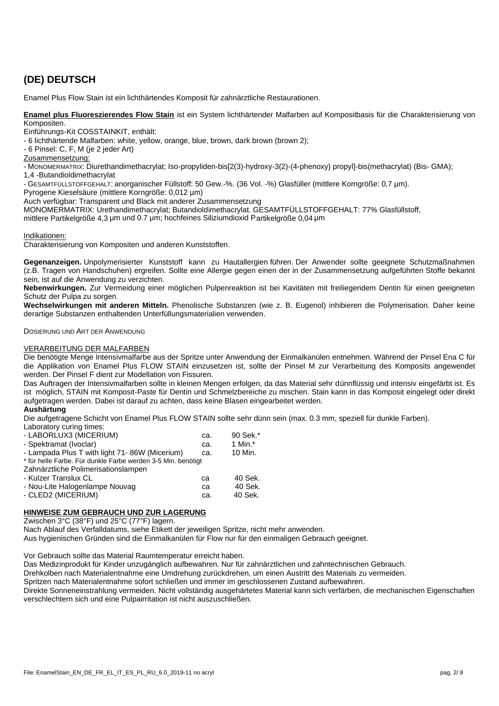# **(DE) DEUTSCH**

Enamel Plus Flow Stain ist ein lichthärtendes Komposit für zahnärztliche Restaurationen.

**Enamel plus Fluoreszierendes Flow Stain** ist ein System lichthärtender Malfarben auf Kompositbasis für die Charakterisierung von Kompositen.

Einführungs-Kit COSSTAINKIT, enthält:

- 6 lichthärtende Malfarben: white, yellow, orange, blue, brown, dark brown (brown 2);

- 6 Pinsel: C, F, M (je 2 jeder Art)

Zusammensetzung:

- MONOMERMATRIX: Diurethandimethacrylat; Iso-propyliden-bis[2(3)-hydroxy-3(2)-(4-phenoxy) propyl]-bis(methacrylat) (Bis- GMA); 1,4 -Butandioldimethacrylat

- GESAMTFÜLLSTOFFGEHALT: anorganischer Füllstoff: 50 Gew.-%. (36 Vol. -%) Glasfüller (mittlere Korngröße: 0,7 µm).

Pyrogene Kieselsäure (mittlere Korngröße: 0,012 µm)

Auch verfügbar: Transparent und Black mit anderer Zusammensetzung

MONOMERMATRIX: Urethandimethacrylat; Butandioldimethacrylat. GESAMTFÜLLSTOFFGEHALT: 77% Glasfüllstoff,

mittlere Partikelgröße 4,3 μm und 0.7 μm; hochfeines Siliziumdioxid Partikelgröße 0,04 μm

Indikationen:

Charakterisierung von Kompositen und anderen Kunststoffen.

**Gegenanzeigen.** Unpolymerisierter Kunststoff kann zu Hautallergien führen. Der Anwender sollte geeignete Schutzmaßnahmen (z.B. Tragen von Handschuhen) ergreifen. Sollte eine Allergie gegen einen der in der Zusammensetzung aufgeführten Stoffe bekannt sein, ist auf die Anwendung zu verzichten.

**Nebenwirkungen.** Zur Vermeidung einer möglichen Pulpenreaktion ist bei Kavitäten mit freiliegendem Dentin für einen geeigneten Schutz der Pulpa zu sorgen.

**Wechselwirkungen mit anderen Mitteln.** Phenolische Substanzen (wie z. B. Eugenol) inhibieren die Polymerisation. Daher keine derartige Substanzen enthaltenden Unterfüllungsmaterialien verwenden.

DOSIERUNG UND ART DER ANWENDUNG

#### VERARBEITUNG DER MALFARBEN

Die benötigte Menge Intensivmalfarbe aus der Spritze unter Anwendung der Einmalkanülen entnehmen. Während der Pinsel Ena C für die Applikation von Enamel Plus FLOW STAIN einzusetzen ist, sollte der Pinsel M zur Verarbeitung des Komposits angewendet werden. Der Pinsel F dient zur Modellation von Fissuren.

Das Auftragen der Intensivmalfarben sollte in kleinen Mengen erfolgen, da das Material sehr dünnflüssig und intensiv eingefärbt ist. Es ist möglich, STAIN mit Komposit-Paste für Dentin und Schmelzbereiche zu mischen. Stain kann in das Komposit eingelegt oder direkt aufgetragen werden. Dabei ist darauf zu achten, dass keine Blasen eingearbeitet werden.

#### **Aushärtung**

Die aufgetragene Schicht von Enamel Plus FLOW STAIN sollte sehr dünn sein (max. 0.3 mm, speziell für dunkle Farben). Laboratory curing times:

| <b>Laboratory</b> barmly throut.                             |     |            |  |
|--------------------------------------------------------------|-----|------------|--|
| - LABORLUX3 (MICERIUM)                                       | ca. | 90 Sek.*   |  |
| - Spektramat (Ivoclar)                                       | ca. | 1 Min. $*$ |  |
| - Lampada Plus T with light 71-86W (Micerium)                | ca. | 10 Min.    |  |
| * für helle Farbe. Für dunkle Farbe werden 3-5 Min. benötigt |     |            |  |
| Zahnärztliche Polimerisationslampen                          |     |            |  |
| - Kulzer Translux CL                                         | ca  | 40 Sek.    |  |
| - Nou-Lite Halogenlampe Nouvag                               | ca  | 40 Sek.    |  |
| - CLED2 (MICERIUM)                                           | ca. | 40 Sek.    |  |
|                                                              |     |            |  |

#### **HINWEISE ZUM GEBRAUCH UND ZUR LAGERUNG**

Zwischen 3°C (38°F) und 25°C (77°F) lagern.

Nach Ablauf des Verfalldatums, siehe Etikett der jeweiligen Spritze, nicht mehr anwenden.

Aus hygienischen Gründen sind die Einmalkanülen für Flow nur für den einmaligen Gebrauch geeignet.

Vor Gebrauch sollte das Material Raumtemperatur erreicht haben.

Das Medizinprodukt für Kinder unzugänglich aufbewahren. Nur für zahnärztlichen und zahntechnischen Gebrauch.

Drehkolben nach Materialentnahme eine Umdrehung zurückdrehen, um einen Austritt des Materials zu vermeiden.

Spritzen nach Materialentnahme sofort schließen und immer im geschlossenen Zustand aufbewahren.

Direkte Sonneneinstrahlung vermeiden. Nicht vollständig ausgehärtetes Material kann sich verfärben, die mechanischen Eigenschaften verschlechtern sich und eine Pulpairritation ist nicht auszuschließen.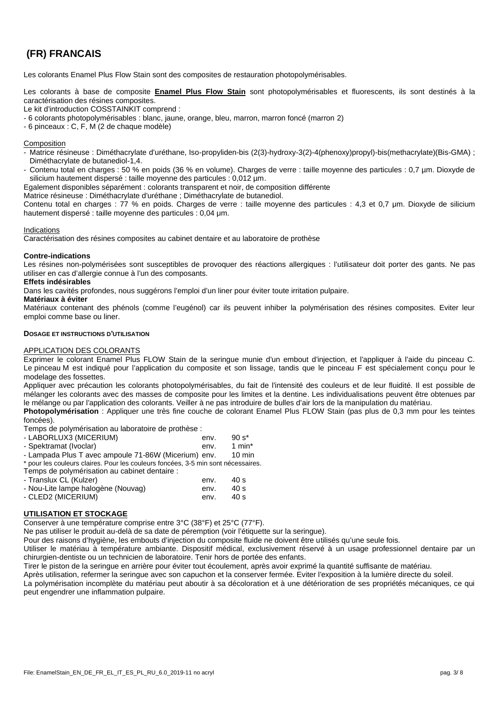## **(FR) FRANCAIS**

Les colorants Enamel Plus Flow Stain sont des composites de restauration photopolymérisables.

Les colorants à base de composite **Enamel Plus Flow Stain** sont photopolymérisables et fluorescents, ils sont destinés à la caractérisation des résines composites.

Le kit d'introduction COSSTAINKIT comprend :

- 6 colorants photopolymérisables : blanc, jaune, orange, bleu, marron, marron foncé (marron 2)

- 6 pinceaux : C, F, M (2 de chaque modèle)

#### Composition

- Matrice résineuse : Diméthacrylate d'uréthane, Iso-propyliden-bis (2(3)-hydroxy-3(2)-4(phenoxy)propyl)-bis(methacrylate)(Bis-GMA) ; Diméthacrylate de butanediol-1,4.

- Contenu total en charges : 50 % en poids (36 % en volume). Charges de verre : taille moyenne des particules : 0,7 µm. Dioxyde de silicium hautement dispersé : taille moyenne des particules : 0,012 µm.

Egalement disponibles séparément : colorants transparent et noir, de composition différente

Matrice résineuse : Diméthacrylate d'uréthane ; Diméthacrylate de butanediol.

Contenu total en charges : 77 % en poids. Charges de verre : taille moyenne des particules : 4,3 et 0,7 μm. Dioxyde de silicium hautement dispersé : taille moyenne des particules : 0,04 μm.

#### Indications

Caractérisation des résines composites au cabinet dentaire et au laboratoire de prothèse

#### **Contre-indications**

Les résines non-polymérisées sont susceptibles de provoquer des réactions allergiques : l'utilisateur doit porter des gants. Ne pas utiliser en cas d'allergie connue à l'un des composants.

#### **Effets indésirables**

Dans les cavités profondes, nous suggérons l'emploi d'un liner pour éviter toute irritation pulpaire.

#### **Matériaux à éviter**

Matériaux contenant des phénols (comme l'eugénol) car ils peuvent inhiber la polymérisation des résines composites. Eviter leur emploi comme base ou liner.

#### **DOSAGE ET INSTRUCTIONS D'UTILISATION**

#### APPLICATION DES COLORANTS

Exprimer le colorant Enamel Plus FLOW Stain de la seringue munie d'un embout d'injection, et l'appliquer à l'aide du pinceau C. Le pinceau M est indiqué pour l'application du composite et son lissage, tandis que le pinceau F est spécialement conçu pour le modelage des fossettes.

Appliquer avec précaution les colorants photopolymérisables, du fait de l'intensité des couleurs et de leur fluidité. Il est possible de mélanger les colorants avec des masses de composite pour les limites et la dentine. Les individualisations peuvent être obtenues par le mélange ou par l'application des colorants. Veiller à ne pas introduire de bulles d'air lors de la manipulation du matériau.

**Photopolymérisation** : Appliquer une très fine couche de colorant Enamel Plus FLOW Stain (pas plus de 0,3 mm pour les teintes foncées).

Temps de polymérisation au laboratoire de prothèse :

| - LABORLUX3 (MICERIUM) | env. | .90 s*            |
|------------------------|------|-------------------|
| - Spektramat (Ivoclar) | env. | $1 \text{ min}^*$ |

- Lampada Plus T avec ampoule 71-86W (Micerium) env. 10 min

\* pour les couleurs claires. Pour les couleurs foncées, 3-5 min sont nécessaires.

Temps de polymérisation au cabinet dentaire :

| - Translux CL (Kulzer)             | env. | - 40 s |
|------------------------------------|------|--------|
| - Nou-Lite lampe halogène (Nouvag) | env. | 40 s   |
| - CLED2 (MICERIUM)                 | env. | 40 s   |

#### **UTILISATION ET STOCKAGE**

Conserver à une température comprise entre 3°C (38°F) et 25°C (77°F).

Ne pas utiliser le produit au-delà de sa date de péremption (voir l'étiquette sur la seringue).

Pour des raisons d'hygiène, les embouts d'injection du composite fluide ne doivent être utilisés qu'une seule fois.

Utiliser le matériau à température ambiante. Dispositif médical, exclusivement réservé à un usage professionnel dentaire par un chirurgien-dentiste ou un technicien de laboratoire. Tenir hors de portée des enfants.

Tirer le piston de la seringue en arrière pour éviter tout écoulement, après avoir exprimé la quantité suffisante de matériau.

Après utilisation, refermer la seringue avec son capuchon et la conserver fermée. Eviter l'exposition à la lumière directe du soleil. La polymérisation incomplète du matériau peut aboutir à sa décoloration et à une détérioration de ses propriétés mécaniques, ce qui peut engendrer une inflammation pulpaire.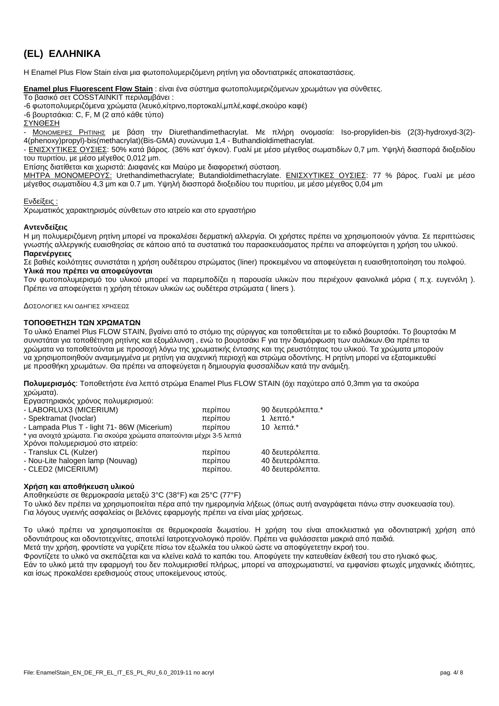# **(EL) ΕΛΛΗΝΙΚΑ**

H Enamel Plus Flow Stain  $\mu$   $\mu$   $\mu$ 

|          | <b>Enamel plus Fluorescent Flow Stain:</b> |  |  |  |  |
|----------|--------------------------------------------|--|--|--|--|
|          | <b>COSSTAINKIT</b>                         |  |  |  |  |
| -6<br>-6 | $C, F, M$ (2)                              |  |  |  |  |

ΣΥΝΘΕΣΗΣ ΚΑΙ ΤΟ ΠΟΥΣΚΟΛΟΣ ΚΑΙ ΤΟ ΠΟΥΣΚΟΛΟΣ ΚΑΙ ΤΟ ΠΟΥΣΚΟΛΟΣ ΚΑΙ ΤΟ ΠΟΥΣΚΟΛΟΣ ΚΑΙ ΤΟ ΠΟΥΣΚΟΛΟΣ ΚΑΙ ΤΟ ΠΟΥΣΚΟΛΟΣ<br>ΣΥΝΘΕΣΗΣ ΚΑΙ ΤΟ ΠΟΥΣΚΟΛΟΣ ΚΑΙ ΤΟ ΠΟΥΣΚΟΛΟΣ ΚΑΙ ΤΟ ΠΟΥΣΚΟΛΟΣ ΚΑΙ ΤΟ ΠΟΥΣΚΟΛΟΣ ΚΑΙ ΤΟ ΠΟΥΣΚΟΛΟΣ ΚΑΙ ΤΟ ΠΟΥΣΚΟΛΟΣ - P μ Diurethandimethacrylat. Metal μ So-propyliden-bis (2(3)-hydroxyd-3(2)-4(phenoxy)propyl)-bis(methacrylat)(Bis-GMA)  $\mu$  1,4 - Buthandioldimethacrylat.<br>- 50% (36% ) μ μ μ μ μ - ΕΝΙΣΧΥΤΙΚΕΣ ΟΥΣΙΕ : 50% κατά βάρος. (36% κατ' όγκον). Γυαλί με μέσο μέγεθος σωματιδίων 0,7 μm. Υψηλή διασπορά διοξειδίου

, μ μ μ 0,012 μm.

Επίσης διατίθεται και χωριστά: Διαφανές και Μαύρο με διαφορετική σύσταση.

<u>\_\_\_\_\_\_\_\_\_\_\_\_\_\_\_\_\_\_\_\_\_\_;</u> Urethandimethacrylate; Butandioldimethacrylate. \_\_\_\_\_\_\_\_\_\_\_\_\_\_\_\_\_\_\_\_; 77 % attaching u μ μ. 4,3 μm 0.7 μm. Υψηλή διασπορά διοξειδή διαστηρική και του πυριστού του πυριστικό μέγεθος με με  $(0.04 \text{ }\mu\text{m})$ 

Ενδευτεί Χρωματικός χαρακτηρισμός σύνθετων στο ιατρείο και στο εργαστήριο

Η μη πολυμεριζόμενη ρητίνη μπορεί να προκαλέσει δερματική αλλεργία. Οι χρήστες πρέπει να χρησιμοποιούν γάντια. Σε περιπτώσεις γνωστής αλλεργικής ευαισθησίας σε κάποιο από τα συστατικά του παρασκευάσματος πρέπει να αποφεύγεται η χρήση του υλικού.

Σε βαθιές κοιλότητες συνιστάται η χρήση ουδέτερου στρώματος (liner) προκειμένου να αποφεύγεται η ευαισθητοποίηση του πολφού.

Τον φωτοπολυμερισμό του υλικού μπορεί να παρεμποδίζει η παρουσία υλικών που περιέχουν φαινολικά μόρια ( π.χ. ευγενόλη ).  $\mu$  (liners ).

|  | Enamel Plus FLOW STAIN, |  |  |  |  |     |     |
|--|-------------------------|--|--|--|--|-----|-----|
|  |                         |  |  |  |  | . . |     |
|  |                         |  |  |  |  |     |     |
|  | uu u                    |  |  |  |  |     | . . |
|  |                         |  |  |  |  |     |     |

**ΠΟΛυμερισμός**: Το πρόθετα και με τα μεταπεί Plus FLOW STAIN (δρόκος από τα σκούρα τα σκούρα τα σκούρα τα σκούρα χρώματα).  $\mu$   $\mu$  : - LABORLUX3 (MICERIUM) περίπου 90 δεν την περίπου 90 δεν την περίπου 90 δεν την περίπου 1. - Spektramat (Ivoclar) περίπου 1 λεπτό.\* Στην περίπου 1 λεπτό.\* Στην περίπου 1 λεπτό.\* - Lampada Plus T - light 71- 86W (Micerium) περίπου 10 λεπτά.\* Σ  $\star$  για σκούρα χρώματα με την προσωπική μέχρι 3-5 λεπτά μέχρι 3-5 λεπτά μέχρι 3-5 λεπτά μέχρι 3-5 λεπτά μέχρι 3-5 λεπτά μέχρι 3-5 λεπτά μέχρι 3-5 λεπτά μέχρι 3-6 λεπτά μέχρι 3-6 λεπτά μέχρι 3-6 λεπτά μέχρι 3-6 λεπτά μέχρ Χρόνοι πολυμερισμού στο ιατρείο: - Translux CL (Kulzer) περίπου 40 δεν επιχειρόλεπτα. Στα την καταστά του 40 δεν επιχειρόφθ - Nou-Lite halogen lamp (Nouvag) περίπου του κατά του 40 δευτερόλεπτα. Επιτρόπου του κατά του κατά του κατά τ - CLED2 (MICERIUM) περίπου. 1999 - Στον 1999 - Στον 40 δευτερόλεπτα. 40 δεν εκδίκτων στη Σ

|   | п<br>u<br>u | $3^{\circ}$ C (38 $^{\circ}$ F)<br>u | 25°C (77°F)<br>u<br>IJ | ٠ |   |  |
|---|-------------|--------------------------------------|------------------------|---|---|--|
|   |             |                                      | u                      |   |   |  |
| μ |             |                                      |                        | μ | μ |  |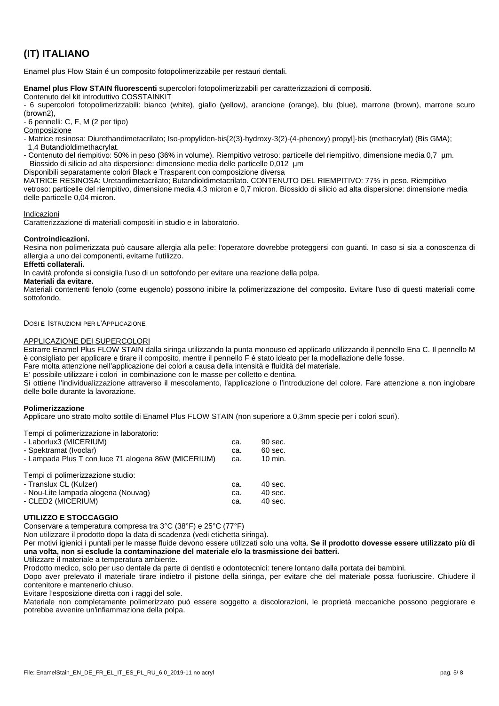## **(IT) ITALIANO**

Enamel plus Flow Stain é un composito fotopolimerizzabile perrestauri dentali.

**Enamel plus Flow STAIN fluorescenti** supercolori fotopolimerizzabili per caratterizzazioni di compositi.

Contenuto del kit introduttivo COSSTAINKIT

- 6 supercolori fotopolimerizzabili: bianco (white), giallo (yellow), arancione (orange), blu (blue), marrone (brown), marrone scuro (brown2),

- 6 pennelli: C, F, M (2 per tipo)

Composizione

- Matrice resinosa: Diurethandimetacrilato; Iso-propyliden-bis[2(3)-hydroxy-3(2)-(4-phenoxy) propyl]-bis (methacrylat) (Bis GMA); 1,4 Butandioldimethacrylat.

- Contenuto del riempitivo: 50% in peso (36% in volume). Riempitivo vetroso: particelle del riempitivo, dimensione media 0,7 µm. Biossido di silicio ad alta dispersione: dimensione media delle particelle 0,012 µm

Disponibili separatamente colori Black e Trasparent con composizione diversa

MATRICE RESINOSA: Uretandimetacrilato; Butandioldimetacrilato. CONTENUTO DEL RIEMPITIVO: 77% in peso. Riempitivo vetroso: particelle del riempitivo, dimensione media 4,3 micron e 0,7 micron. Biossido di silicio ad alta dispersione: dimensione media delle particelle 0,04 micron.

#### Indicazioni

Caratterizzazione di materiali compositi in studio e in laboratorio.

#### **Controindicazioni.**

Resina non polimerizzata può causare allergia alla pelle: l'operatore dovrebbe proteggersi con guanti. In caso si sia a conoscenza di allergia a uno dei componenti, evitarne l'utilizzo.

**Effetti collaterali.**

In cavità profonde si consiglia l'uso di un sottofondo per evitare una reazione della polpa.

#### **Materiali da evitare.**

Materiali contenenti fenolo (come eugenolo) possono inibire la polimerizzazione del composito. Evitare l'uso di questi materiali come sottofondo.

DOSI E ISTRUZIONI PER L'APPLICAZIONE

#### APPLICAZIONE DEI SUPERCOLORI

Estrarre Enamel Plus FLOW STAIN dalla siringa utilizzando la punta monouso ed applicarlo utilizzando il pennello Ena C. Il pennello M è consigliato per applicare e tirare il composito, mentre il pennello F é stato ideato per la modellazione delle fosse.

Fare molta attenzione nell'applicazione dei colori a causa della intensità e fluidità del materiale.

E' possibile utilizzare i colori in combinazione con le masse per colletto e dentina.

Si ottiene l'individualizzazione attraverso il mescolamento, l'applicazione o l'introduzione del colore. Fare attenzione a non inglobare delle bolle durante la lavorazione.

#### **Polimerizzazione**

Applicare uno strato molto sottile di Enamel Plus FLOW STAIN (non superiore a 0,3mm specie per i colori scuri).

Tempi di polimerizzazione in laboratorio:

| - Laborlux3 (MICERIUM)                              | ca. | 90 sec.            |  |
|-----------------------------------------------------|-----|--------------------|--|
| - Spektramat (Ivoclar)                              | ca. | 60 sec.            |  |
| - Lampada Plus T con luce 71 alogena 86W (MICERIUM) | ca. | $10 \text{ min}$ . |  |
| Tempi di polimerizzazione studio:                   |     |                    |  |
| - Translux CL (Kulzer)                              | ca. | $40$ sec.          |  |
| - Nou-Lite lampada alogena (Nouvag)                 | ca. | $40$ sec.          |  |
| - CLED2 (MICERIUM)                                  | ca. | 40 sec.            |  |

#### **UTILIZZO E STOCCAGGIO**

Conservare a temperatura compresa tra 3°C (38°F) e 25°C (77°F)

Non utilizzare il prodotto dopo la data di scadenza (vedi etichetta siringa).

Per motivi igienici i puntali per le masse fluide devono essere utilizzati solo una volta. **Se il prodotto dovesse essere utilizzato più di una volta, non si esclude la contaminazione del materiale e/o la trasmissione dei batteri.**

Utilizzare il materiale a temperatura ambiente.

Prodotto medico, solo per uso dentale da parte di dentisti e odontotecnici: tenere lontano dalla portata dei bambini.

Dopo aver prelevato il materiale tirare indietro il pistone della siringa, per evitare che del materiale possa fuoriuscire. Chiudere il contenitore e mantenerlo chiuso.

Evitare l'esposizione diretta con i raggi del sole.

Materiale non completamente polimerizzato può essere soggetto a discolorazioni, le proprietà meccaniche possono peggiorare e potrebbe avvenire un'infiammazione della polpa.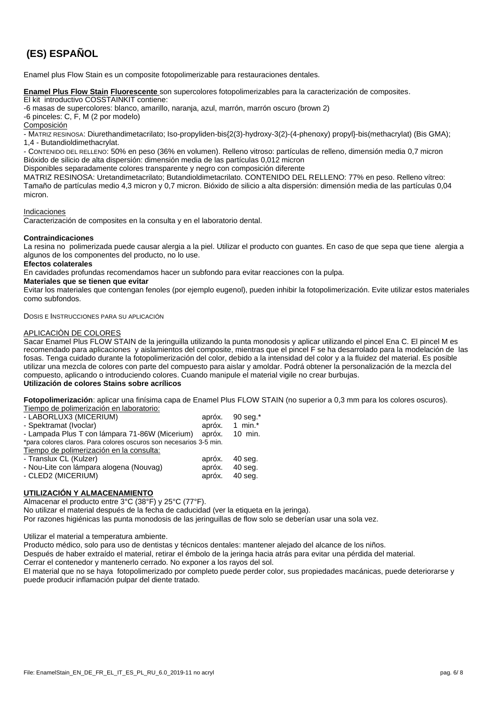# **(ES) ESPAÑOL**

Enamel plus Flow Stain es un composite fotopolimerizable para restauraciones dentales.

**Enamel Plus Flow Stain Fluorescente** son supercolores fotopolimerizables para la caracterización de composites.

El kit introductivo COSSTAINKIT contiene:

-6 masas de supercolores: blanco, amarillo, naranja, azul, marrón, marrón oscuro (brown 2)

-6 pinceles: C, F, M (2 por modelo)

Composición

- MATRIZ RESINOSA: Diurethandimetacrilato; Iso-propyliden-bis{2(3)-hydroxy-3(2)-(4-phenoxy) propyl}-bis(methacrylat) (Bis GMA); 1,4 - Butandioldimethacrylat.

- CONTENIDO DEL RELLENO: 50% en peso (36% en volumen). Relleno vitroso: partículas de relleno, dimensión media 0,7 micron Bióxido de silicio de alta dispersión: dimensión media de las partículas 0,012 micron

Disponibles separadamente colores transparente y negro con composición diferente

MATRIZ RESINOSA: Uretandimetacrilato; Butandioldimetacrilato. CONTENIDO DEL RELLENO: 77% en peso. Relleno vítreo: Tamaño de partículas medio 4,3 micron y 0,7 micron. Bióxido de silicio a alta dispersión: dimensión media de las partículas 0,04 micron.

#### Indicaciones

Caracterización de composites en la consulta y en el laboratorio dental.

#### **Contraindicaciones**

La resina no polimerizada puede causar alergia a la piel. Utilizar el producto con guantes. En caso de que sepa que tiene alergia a algunos de los componentes del producto, no lo use.

#### **Efectos colaterales**

En cavidades profundas recomendamos hacer un subfondo para evitar reacciones con la pulpa.

#### **Materiales que se tienen que evitar**

Evitar los materiales que contengan fenoles (por ejemplo eugenol), pueden inhibir la fotopolimerización. Evite utilizar estos materiales como subfondos.

DOSIS E INSTRUCCIONES PARA SU APLICACIÓN

#### APLICACIÒN DE COLORES

Sacar Enamel Plus FLOW STAIN de la jeringuilla utilizando la punta monodosis y aplicar utilizando el pincel Ena C. El pincel M es recomendado para aplicaciones y aislamientos del composite, mientras que el pincel F se ha desarrolado para la modelación de las fosas. Tenga cuidado durante la fotopolimerización del color, debido a la intensidad del color y a la fluidez del material. Es posible utilizar una mezcla de colores con parte del compuesto para aislar y amoldar. Podrá obtener la personalización de la mezcla del compuesto, aplicando o introduciendo colores. Cuando manipule el material vigile no crear burbujas. **Utilización de colores Stains sobre acrílicos**

**Fotopolimerización**: aplicar una finísima capa de Enamel Plus FLOW STAIN (no superior a 0,3 mm para los colores oscuros). Tiempo de polimerización en laboratorio:

| <b>TIGHTO GE DUITIGHZAGION GH TADUTATUR.</b>                       |        |                |  |
|--------------------------------------------------------------------|--------|----------------|--|
| - LABORLUX3 (MICERIUM)                                             | apróx. | 90 seg. $*$    |  |
| - Spektramat (Ivoclar)                                             | apróx. | 1 min. $*$     |  |
| - Lampada Plus T con lámpara 71-86W (Micerium)                     |        | apróx. 10 min. |  |
| *para colores claros. Para colores oscuros son necesarios 3-5 min. |        |                |  |
| Tiempo de polimerización en la consulta:                           |        |                |  |
| - Translux CL (Kulzer)                                             |        | apróx. 40 seg. |  |
| - Nou-Lite con lámpara alogena (Nouvag)                            |        | apróx. 40 seg. |  |
| - CLED2 (MICERIUM)                                                 | apróx. | $40$ seq.      |  |
|                                                                    |        |                |  |

#### **UTILIZACIÓN Y ALMACENAMIENTO**

Almacenar el producto entre 3°C (38°F) y 25°C (77°F).

No utilizar el material después de la fecha de caducidad (ver la etiqueta en la jeringa).

Por razones higiénicas las punta monodosis de las jeringuillas de flow solo se deberían usar una sola vez.

Utilizar el material a temperatura ambiente.

Producto médico, solo para uso de dentistas y técnicos dentales: mantener alejado del alcance de los niños.

Después de haber extraído el material, retirar el émbolo de la jeringa hacia atrás para evitar una pérdida del material.

Cerrar el contenedor y mantenerlo cerrado. No exponer a los rayos del sol.

El material que no se haya fotopolimerizado por completo puede perder color, sus propiedades macánicas, puede deteriorarse y puede producir inflamación pulpar del diente tratado.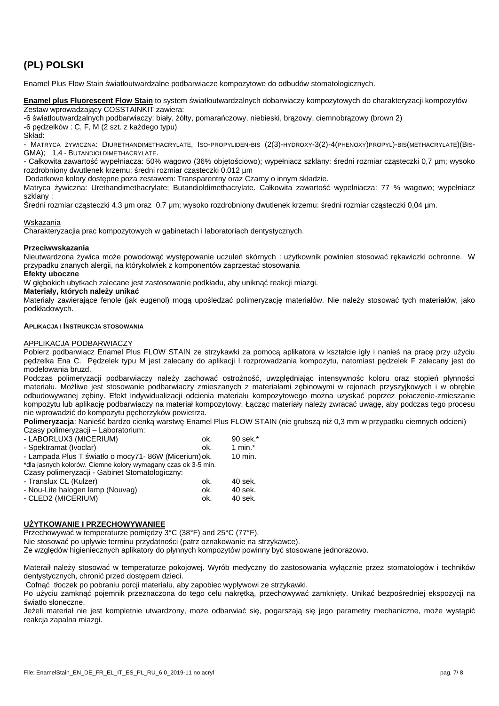## **(PL) POLSKI**

Enamel Plus Flow Stain wiatłoutwardzalne podbarwiacze kompozytowe do odbudów stomatologicznych.

**Enamel plus Fluorescent Flow Stain** to system wiatłoutwardzalnych dobarwiaczy kompozytowych do charakteryzacji kompozytów Zestaw wprowadzaj cy COSSTAINKIT zawiera:

-6 wiatłoutwardzalnych podbarwiaczy: biały, ółty, pomara czowy, niebieski, brązowy, ciemnobrązowy (brown 2)

-6 p dzelków : C, F, M (2 szt. z ka dego typu)

Skład:

- MATRYCA ŻYWICZNA: DIURETHANDIMETHACRYLATE, ISO-PROPYLIDEN-BIS (2(3)-HYDROXY-3(2)-4(PHENOXY)PROPYL)-BIS(METHACRYLATE)(BIS- GMA); 1,4 - BUTANDIOLDIMETHACRYLATE.

- Całkowita zawarto wypełniacza: 50% wagowo (36% objętościowo); wypełniacz szklany: redni rozmiar częsteczki 0,7 µm; wysoko rozdrobniony dwutlenek krzemu: redni rozmiar cz steczki 0.012 µm

Dodatkowe kolory dost pne poza zestawem: Transparentny oraz Czarny o innym składzie.

Matryca ywiczna: Urethandimethacrylate; Butandioldimethacrylate. Całkowita zawarto wypełniacza: 77 % wagowo; wypełniacz szklany :

redni rozmiar cz steczki 4,3 μm oraz 0.7 μm; wysoko rozdrobniony dwutlenek krzemu: redni rozmiar cz steczki 0,04 μm.

#### **Wskazania**

Charakteryzacjia prac kompozytowych w gabinetach i laboratoriach dentystycznych.

#### **Przeciwwskazania**

Nieutwardzona ywica mo e powodow wyst powanie uczule skórnych : u ytkownik powinien stosowa r kawiczki ochronne. W przypadku znanych alergii, na którykolwiek z komponentów zaprzestać stosowania

#### **Efekty uboczne**

W gł bokich ubytkach zalecane jest zastosowanie podkładu, aby unikną reakcji miazgi.

#### **Materiały, których nale y unika**

Materiały zawieraj ce fenole (jak eugenol) mogą bedza polimeryzacją materiałów. Nie nale y stosowa tych materiałów, jako podkładowych.

#### **APLIKACJA I INSTRUKCJA STOSOWANIA**

#### APPLIKACJA PODBARWIACZY

Pobierz podbarwiacz Enamel Plus FLOW STAIN ze strzykawki za pomoc aplikatora w kształcie igły i nanie na pracę przy u yciu p dzelka Ena C. P dzelek typu M jest zalecany do aplikacji I rozprowadzania kompozytu, natomiast p dzelek F zalecany jest do modelowania bruzd.

Podczas polimeryzacji podbarwiaczy nale y zachowa ostro no, uwzgl dniając intensywno c koloru oraz stopie płynności materiału. Mo liwe jest stosowanie podbarwiaczy zmieszanych z materiałami z binowymi w rejonach przyszyjkowych i w obr bie odbudowywanei z biny. Efekt indywidualizacji odcienia materiału kompozytowego mo na uzyska poprzez połaczenie-zmieszanie kompozytu lub aplikacj podbarwiaczy na materiał kompozytowy. Ł cz c materiały nale y zwraca uwag, aby podczas tego procesu nie wprowadzi do kompozytu p cherzyków powietrza.

Polimeryzacja: Nanie bardzo cienk warstw Enamel Plus FLOW STAIN (nie grubsz ni 0,3 mm w przypadku ciemnych odcieni) Czasy polimeryzacji – Laboratorium:

| - LABORLUX3 (MICERIUM)                                                        | ok. | 90 sek.*   |  |
|-------------------------------------------------------------------------------|-----|------------|--|
| - Spektramat (Ivoclar)                                                        | ok. | 1 min. $*$ |  |
| - Lampada Plus T wiatło o mocy 71 - 86W (Micerium) ok.                        |     | 10 min.    |  |
| talle teachers de listenful. Otherwise treten commencement and a life Frantie |     |            |  |

\*dla jasnych kolorów. Ciemne kolory wymagany czas ok 3-5 min.

Czasy polimeryzacji - Gabinet Stomatologiczny:

| - Translux CL (Kulzer)           | ok. | 40 sek. |
|----------------------------------|-----|---------|
| - Nou-Lite halogen lamp (Nouvag) | ok. | 40 sek. |
| - CLED2 (MICERIUM)               | ok. | 40 sek. |

#### **U YTKOWANIE I PRZECHOWYWANIEE**

Przechowywa w temperaturze pomi dzy 3°C (38°F) and 25°C (77°F).

Nie stosowa po upływie terminu przydatno ci (patrz oznakowanie na strzykawce).

Ze wzgl dów higieniecznych aplikatory do płynnych kompozytów powinny by stosowane jednorazowo.

Materaił nale y stosowa w temperaturze pokojowej. Wyrób medyczny do zastosowania wył cznie przez stomatologów i techników dentystycznych, chroni przed dost pem dzieci.

Cofnąć tłoczek po pobraniu porcji materiału, aby zapobiec wypływowi ze strzykawki.<br>Po u vcju zamkną pojemnik przeznaczona do tego celu nakrytka, przechowywa

pojemnik przeznaczona do tego celu nakr tk, przechowywa zamkni ty. Unika bezpo redniej ekspozycji na wiatło słoneczne.

Je eli materiał nie jest kompletnie utwardzony, mo ę odbarwia si, pogarszają i jego parametry mechaniczne, może wystąpi reakcja zapalna miazgi.